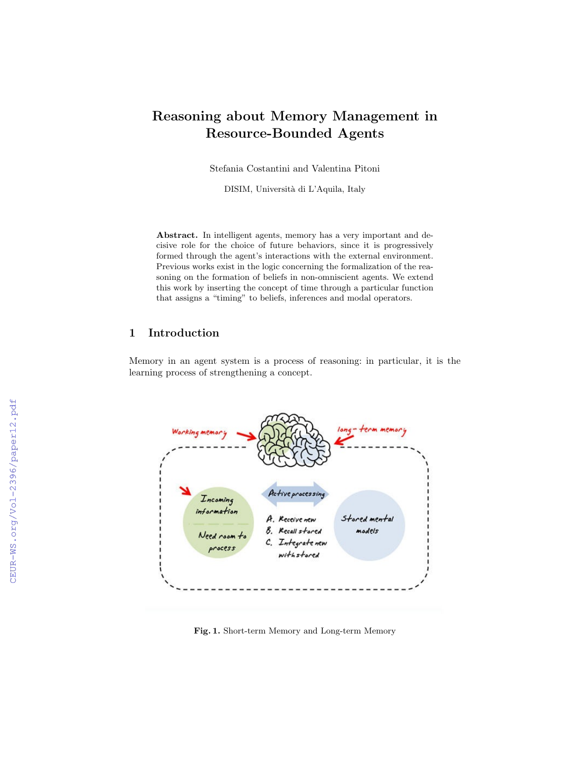# Reasoning about Memory Management in Resource-Bounded Agents

Stefania Costantini and Valentina Pitoni

DISIM, Universit`a di L'Aquila, Italy

Abstract. In intelligent agents, memory has a very important and decisive role for the choice of future behaviors, since it is progressively formed through the agent's interactions with the external environment. Previous works exist in the logic concerning the formalization of the reasoning on the formation of beliefs in non-omniscient agents. We extend this work by inserting the concept of time through a particular function that assigns a "timing" to beliefs, inferences and modal operators.

## 1 Introduction

Memory in an agent system is a process of reasoning: in particular, it is the learning process of strengthening a concept.



Fig. 1. Short-term Memory and Long-term Memory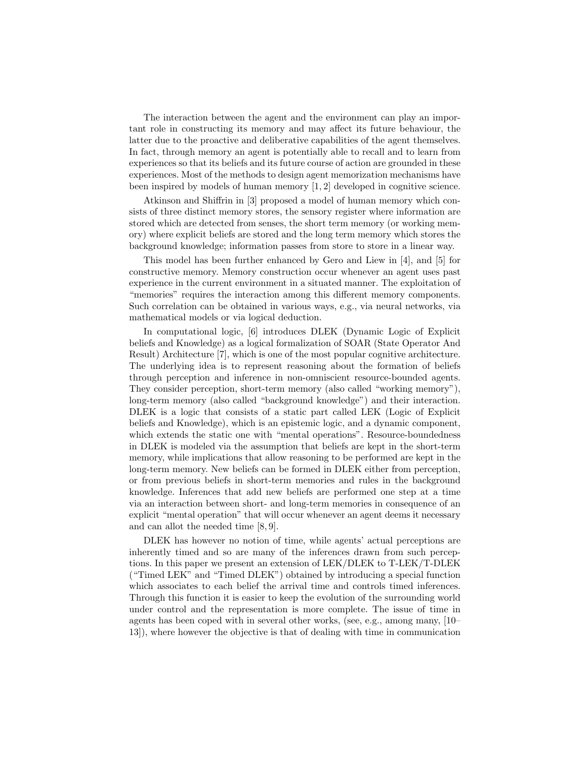The interaction between the agent and the environment can play an important role in constructing its memory and may affect its future behaviour, the latter due to the proactive and deliberative capabilities of the agent themselves. In fact, through memory an agent is potentially able to recall and to learn from experiences so that its beliefs and its future course of action are grounded in these experiences. Most of the methods to design agent memorization mechanisms have been inspired by models of human memory [1, 2] developed in cognitive science.

Atkinson and Shiffrin in [3] proposed a model of human memory which consists of three distinct memory stores, the sensory register where information are stored which are detected from senses, the short term memory (or working memory) where explicit beliefs are stored and the long term memory which stores the background knowledge; information passes from store to store in a linear way.

This model has been further enhanced by Gero and Liew in [4], and [5] for constructive memory. Memory construction occur whenever an agent uses past experience in the current environment in a situated manner. The exploitation of "memories" requires the interaction among this different memory components. Such correlation can be obtained in various ways, e.g., via neural networks, via mathematical models or via logical deduction.

In computational logic, [6] introduces DLEK (Dynamic Logic of Explicit beliefs and Knowledge) as a logical formalization of SOAR (State Operator And Result) Architecture [7], which is one of the most popular cognitive architecture. The underlying idea is to represent reasoning about the formation of beliefs through perception and inference in non-omniscient resource-bounded agents. They consider perception, short-term memory (also called "working memory"), long-term memory (also called "background knowledge") and their interaction. DLEK is a logic that consists of a static part called LEK (Logic of Explicit beliefs and Knowledge), which is an epistemic logic, and a dynamic component, which extends the static one with "mental operations". Resource-boundedness in DLEK is modeled via the assumption that beliefs are kept in the short-term memory, while implications that allow reasoning to be performed are kept in the long-term memory. New beliefs can be formed in DLEK either from perception, or from previous beliefs in short-term memories and rules in the background knowledge. Inferences that add new beliefs are performed one step at a time via an interaction between short- and long-term memories in consequence of an explicit "mental operation" that will occur whenever an agent deems it necessary and can allot the needed time [8, 9].

DLEK has however no notion of time, while agents' actual perceptions are inherently timed and so are many of the inferences drawn from such perceptions. In this paper we present an extension of LEK/DLEK to T-LEK/T-DLEK ("Timed LEK" and "Timed DLEK") obtained by introducing a special function which associates to each belief the arrival time and controls timed inferences. Through this function it is easier to keep the evolution of the surrounding world under control and the representation is more complete. The issue of time in agents has been coped with in several other works, (see, e.g., among many, [10– 13]), where however the objective is that of dealing with time in communication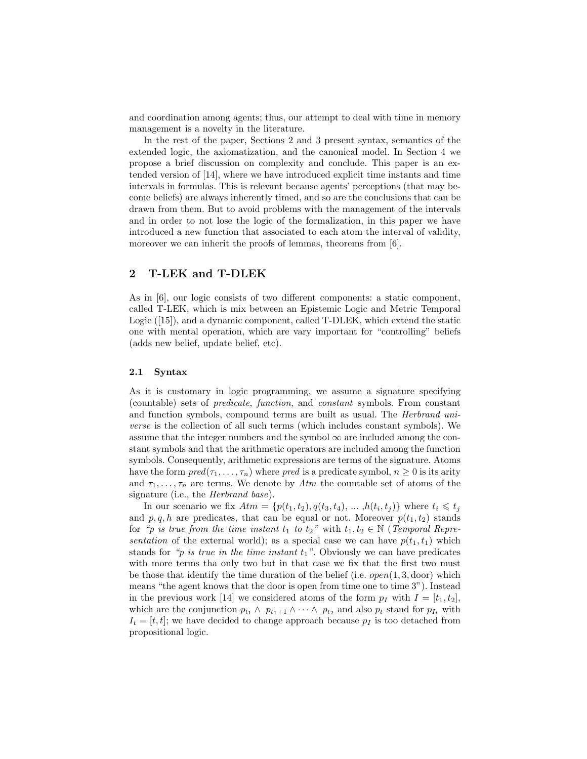and coordination among agents; thus, our attempt to deal with time in memory management is a novelty in the literature.

In the rest of the paper, Sections 2 and 3 present syntax, semantics of the extended logic, the axiomatization, and the canonical model. In Section 4 we propose a brief discussion on complexity and conclude. This paper is an extended version of [14], where we have introduced explicit time instants and time intervals in formulas. This is relevant because agents' perceptions (that may become beliefs) are always inherently timed, and so are the conclusions that can be drawn from them. But to avoid problems with the management of the intervals and in order to not lose the logic of the formalization, in this paper we have introduced a new function that associated to each atom the interval of validity, moreover we can inherit the proofs of lemmas, theorems from [6].

## 2 T-LEK and T-DLEK

As in [6], our logic consists of two different components: a static component, called T-LEK, which is mix between an Epistemic Logic and Metric Temporal Logic ([15]), and a dynamic component, called T-DLEK, which extend the static one with mental operation, which are vary important for "controlling" beliefs (adds new belief, update belief, etc).

#### 2.1 Syntax

As it is customary in logic programming, we assume a signature specifying (countable) sets of predicate, function, and constant symbols. From constant and function symbols, compound terms are built as usual. The Herbrand universe is the collection of all such terms (which includes constant symbols). We assume that the integer numbers and the symbol  $\infty$  are included among the constant symbols and that the arithmetic operators are included among the function symbols. Consequently, arithmetic expressions are terms of the signature. Atoms have the form  $pred(\tau_1, \ldots, \tau_n)$  where pred is a predicate symbol,  $n \geq 0$  is its arity and  $\tau_1, \ldots, \tau_n$  are terms. We denote by  $Atm$  the countable set of atoms of the signature (i.e., the *Herbrand base*).

In our scenario we fix  $Atm = \{p(t_1, t_2), q(t_3, t_4), \dots, h(t_i, t_j)\}\$  where  $t_i \leq t_j$ and p, q, h are predicates, that can be equal or not. Moreover  $p(t_1, t_2)$  stands for "p is true from the time instant  $t_1$  to  $t_2$ " with  $t_1, t_2 \in \mathbb{N}$  (Temporal Representation of the external world); as a special case we can have  $p(t_1, t_1)$  which stands for "p is true in the time instant  $t_1$ ". Obviously we can have predicates with more terms tha only two but in that case we fix that the first two must be those that identify the time duration of the belief (i.e.  $open(1, 3, door)$ ) which means "the agent knows that the door is open from time one to time 3"). Instead in the previous work [14] we considered atoms of the form  $p_I$  with  $I = [t_1, t_2]$ , which are the conjunction  $p_{t_1} \wedge p_{t_1+1} \wedge \cdots \wedge p_{t_2}$  and also  $p_t$  stand for  $p_{I_t}$  with  $I_t = [t, t]$ ; we have decided to change approach because  $p_I$  is too detached from propositional logic.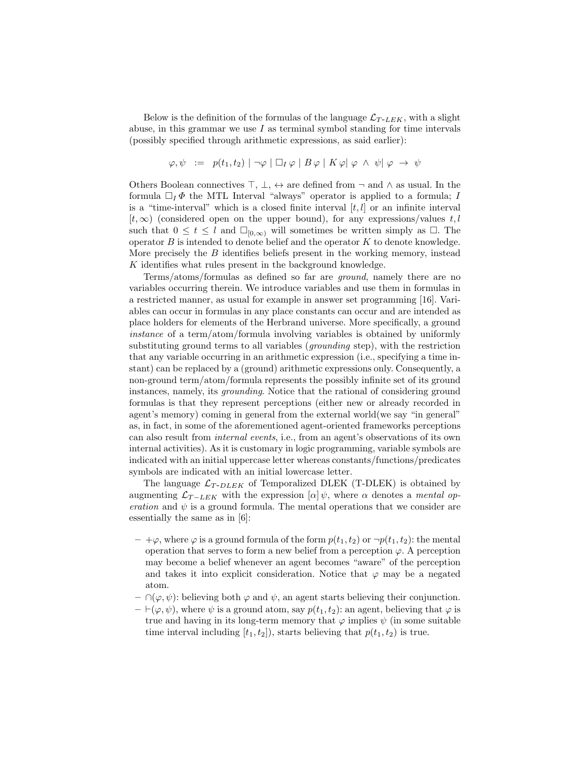Below is the definition of the formulas of the language  $\mathcal{L}_{T-LEK}$ , with a slight abuse, in this grammar we use  $I$  as terminal symbol standing for time intervals (possibly specified through arithmetic expressions, as said earlier):

$$
\varphi, \psi \ := \ p(t_1, t_2) \mid \neg \varphi \mid \Box_I \varphi \mid B \varphi \mid K \varphi \mid \varphi \ \land \ \psi \mid \varphi \ \rightarrow \ \psi
$$

Others Boolean connectives  $\top$ ,  $\bot$ ,  $\leftrightarrow$  are defined from  $\neg$  and  $\land$  as usual. In the formula  $\Box_I \Phi$  the MTL Interval "always" operator is applied to a formula; I is a "time-interval" which is a closed finite interval  $[t, l]$  or an infinite interval  $[t, \infty)$  (considered open on the upper bound), for any expressions/values t, l such that  $0 \leq t \leq l$  and  $\square_{[0,\infty)}$  will sometimes be written simply as  $\square$ . The operator  $B$  is intended to denote belief and the operator  $K$  to denote knowledge. More precisely the  $B$  identifies beliefs present in the working memory, instead K identifies what rules present in the background knowledge.

Terms/atoms/formulas as defined so far are ground, namely there are no variables occurring therein. We introduce variables and use them in formulas in a restricted manner, as usual for example in answer set programming [16]. Variables can occur in formulas in any place constants can occur and are intended as place holders for elements of the Herbrand universe. More specifically, a ground instance of a term/atom/formula involving variables is obtained by uniformly substituting ground terms to all variables (grounding step), with the restriction that any variable occurring in an arithmetic expression (i.e., specifying a time instant) can be replaced by a (ground) arithmetic expressions only. Consequently, a non-ground term/atom/formula represents the possibly infinite set of its ground instances, namely, its grounding. Notice that the rational of considering ground formulas is that they represent perceptions (either new or already recorded in agent's memory) coming in general from the external world(we say "in general" as, in fact, in some of the aforementioned agent-oriented frameworks perceptions can also result from internal events, i.e., from an agent's observations of its own internal activities). As it is customary in logic programming, variable symbols are indicated with an initial uppercase letter whereas constants/functions/predicates symbols are indicated with an initial lowercase letter.

The language  $\mathcal{L}_{T\text{-}DLEX}$  of Temporalized DLEK (T-DLEK) is obtained by augmenting  $\mathcal{L}_{T-LEK}$  with the expression  $[\alpha] \psi$ , where  $\alpha$  denotes a *mental op*eration and  $\psi$  is a ground formula. The mental operations that we consider are essentially the same as in [6]:

- $+\varphi$ , where  $\varphi$  is a ground formula of the form  $p(t_1, t_2)$  or  $\neg p(t_1, t_2)$ : the mental operation that serves to form a new belief from a perception  $\varphi$ . A perception may become a belief whenever an agent becomes "aware" of the perception and takes it into explicit consideration. Notice that  $\varphi$  may be a negated atom.
- $\cap (\varphi, \psi)$ : believing both  $\varphi$  and  $\psi$ , an agent starts believing their conjunction.
- $\vdash(\varphi, \psi)$ , where  $\psi$  is a ground atom, say  $p(t_1, t_2)$ : an agent, believing that  $\varphi$  is true and having in its long-term memory that  $\varphi$  implies  $\psi$  (in some suitable time interval including  $[t_1, t_2]$ , starts believing that  $p(t_1, t_2)$  is true.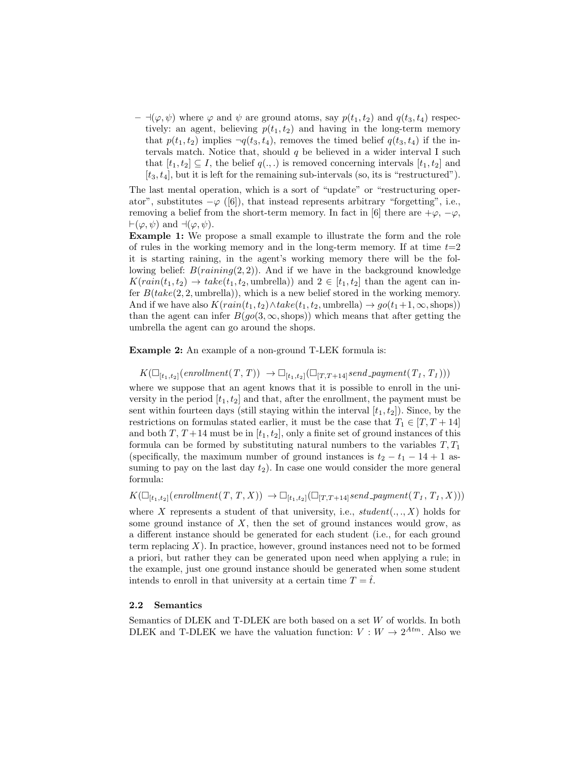$- \exists (\varphi, \psi)$  where  $\varphi$  and  $\psi$  are ground atoms, say  $p(t_1, t_2)$  and  $q(t_3, t_4)$  respectively: an agent, believing  $p(t_1, t_2)$  and having in the long-term memory that  $p(t_1, t_2)$  implies  $\neg q(t_3, t_4)$ , removes the timed belief  $q(t_3, t_4)$  if the intervals match. Notice that, should  $q$  be believed in a wider interval I such that  $[t_1, t_2] \subseteq I$ , the belief  $q(., .)$  is removed concerning intervals  $[t_1, t_2]$  and  $[t_3, t_4]$ , but it is left for the remaining sub-intervals (so, its is "restructured").

The last mental operation, which is a sort of "update" or "restructuring operator", substitutes  $-\varphi$  ([6]), that instead represents arbitrary "forgetting", i.e., removing a belief from the short-term memory. In fact in [6] there are  $+\varphi$ ,  $-\varphi$ ,  $\vdash(\varphi, \psi)$  and  $\neg(\varphi, \psi)$ .

Example 1: We propose a small example to illustrate the form and the role of rules in the working memory and in the long-term memory. If at time  $t=2$ it is starting raining, in the agent's working memory there will be the following belief:  $B(raining(2, 2))$ . And if we have in the background knowledge  $K(rain(t_1, t_2) \rightarrow take(t_1, t_2, \text{umbrella}))$  and  $2 \in [t_1, t_2]$  than the agent can infer  $B(take(2, 2, \text{umbrella}))$ , which is a new belief stored in the working memory. And if we have also  $K(rain(t_1, t_2) \wedge take(t_1, t_2, \text{umbrella}) \rightarrow go(t_1+1, \infty, \text{shops}))$ than the agent can infer  $B(go(3, \infty, \text{shops}))$  which means that after getting the umbrella the agent can go around the shops.

Example 2: An example of a non-ground T-LEK formula is:

 $K(\Box_{[t_1,t_2]}(enrollment(T,T)) \rightarrow \Box_{[t_1,t_2]}(\Box_{[T,T+14]}send\_payment(T_1, T_1)))$ 

where we suppose that an agent knows that it is possible to enroll in the university in the period  $[t_1, t_2]$  and that, after the enrollment, the payment must be sent within fourteen days (still staying within the interval  $[t_1, t_2]$ ). Since, by the restrictions on formulas stated earlier, it must be the case that  $T_1 \in [T, T + 14]$ and both T,  $T + 14$  must be in  $[t_1, t_2]$ , only a finite set of ground instances of this formula can be formed by substituting natural numbers to the variables  $T, T_1$ (specifically, the maximum number of ground instances is  $t_2 - t_1 - 14 + 1$  assuming to pay on the last day  $t_2$ ). In case one would consider the more general formula:

 $K(\Box_{[t_1,t_2]}(enrollment(T,T,X)) \rightarrow \Box_{[t_1,t_2]}(\Box_{[T,T+14]}send\_payment(T_1, T_1, X)))$ 

where X represents a student of that university, i.e.,  $student(.,., X)$  holds for some ground instance of  $X$ , then the set of ground instances would grow, as a different instance should be generated for each student (i.e., for each ground term replacing  $X$ ). In practice, however, ground instances need not to be formed a priori, but rather they can be generated upon need when applying a rule; in the example, just one ground instance should be generated when some student intends to enroll in that university at a certain time  $T = \hat{t}$ .

#### 2.2 Semantics

Semantics of DLEK and T-DLEK are both based on a set  $W$  of worlds. In both DLEK and T-DLEK we have the valuation function:  $V: W \to 2^{Atm}$ . Also we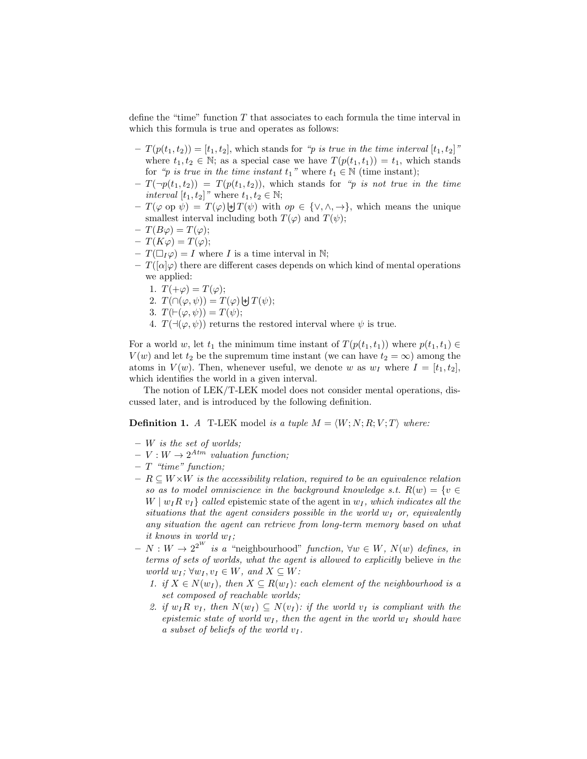define the "time" function  $T$  that associates to each formula the time interval in which this formula is true and operates as follows:

- $T(p(t_1, t_2)) = [t_1, t_2],$  which stands for "p is true in the time interval  $[t_1, t_2]$ " where  $t_1, t_2 \in \mathbb{N}$ ; as a special case we have  $T(p(t_1, t_1)) = t_1$ , which stands for "p is true in the time instant  $t_1$ " where  $t_1 \in \mathbb{N}$  (time instant);
- $-T(\neg p(t_1, t_2)) = T(p(t_1, t_2))$ , which stands for "p is not true in the time *interval*  $[t_1, t_2]$ " where  $t_1, t_2 \in \mathbb{N}$ ;
- $-T(\varphi \text{ op }\psi) = T(\varphi) \biguplus T(\psi)$  with  $op \in \{\vee, \wedge, \rightarrow\},\$  which means the unique smallest interval including both  $T(\varphi)$  and  $T(\psi)$ ;
- $T(B\varphi) = T(\varphi);$
- $T(K\varphi) = T(\varphi);$
- $-T(\Box_I \varphi) = I$  where I is a time interval in N;
- $T([\alpha]\varphi)$  there are different cases depends on which kind of mental operations we applied:
	- 1.  $T(+\varphi) = T(\varphi);$

2. 
$$
T(\bigcap(\varphi,\psi)) = T(\varphi) \biguplus T(\psi);
$$

- 3.  $T(\vdash(\varphi, \psi)) = T(\psi);$
- 4.  $T(\neg(\varphi, \psi))$  returns the restored interval where  $\psi$  is true.

For a world w, let  $t_1$  the minimum time instant of  $T(p(t_1, t_1))$  where  $p(t_1, t_1) \in$  $V(w)$  and let  $t_2$  be the supremum time instant (we can have  $t_2 = \infty$ ) among the atoms in  $V(w)$ . Then, whenever useful, we denote w as  $w_I$  where  $I = [t_1, t_2]$ , which identifies the world in a given interval.

The notion of LEK/T-LEK model does not consider mental operations, discussed later, and is introduced by the following definition.

**Definition 1.** A T-LEK model is a tuple  $M = \langle W; N; R; V; T \rangle$  where:

- $-$  W is the set of worlds;
- $V : W \to 2^{A t m}$  valuation function;
- $T$  "time" function;
- $R \subseteq W \times W$  is the accessibility relation, required to be an equivalence relation so as to model omniscience in the background knowledge s.t.  $R(w) = \{v \in$  $W | w_I R v_I \}$  called epistemic state of the agent in  $w_I$ , which indicates all the situations that the agent considers possible in the world  $w_I$  or, equivalently any situation the agent can retrieve from long-term memory based on what it knows in world  $w_I$ ;
- $N : W \to 2^{2^W}$  is a "neighbourhood" function,  $\forall w \in W$ ,  $N(w)$  defines, in terms of sets of worlds, what the agent is allowed to explicitly believe in the world  $w_I$ ;  $\forall w_I, v_I \in W$ , and  $X \subseteq W$ :
	- 1. if  $X \in N(w_I)$ , then  $X \subseteq R(w_I)$ : each element of the neighbourhood is a set composed of reachable worlds;
	- 2. if  $w_I R v_I$ , then  $N(w_I) \subseteq N(v_I)$ : if the world  $v_I$  is compliant with the epistemic state of world  $w_I$ , then the agent in the world  $w_I$  should have a subset of beliefs of the world  $v_I$ .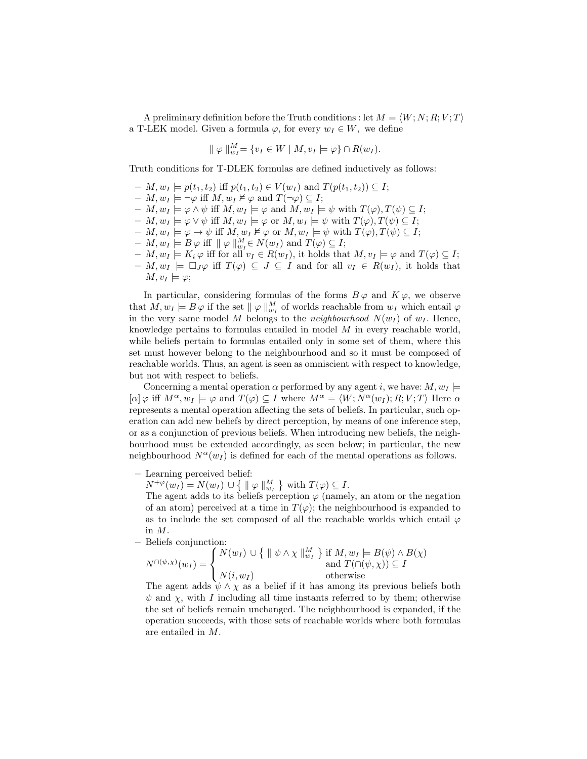A preliminary definition before the Truth conditions : let  $M = \langle W; N; R; V; T \rangle$ a T-LEK model. Given a formula  $\varphi$ , for every  $w_I \in W$ , we define

$$
\| \varphi \|_{w_I}^M = \{ v_I \in W \mid M, v_I \models \varphi \} \cap R(w_I).
$$

Truth conditions for T-DLEK formulas are defined inductively as follows:

- $M, w_I \models p(t_1, t_2)$  iff  $p(t_1, t_2) \in V(w_I)$  and  $T(p(t_1, t_2)) \subseteq I$ ;
- $M, w_I \models \neg \varphi$  iff  $M, w_I \not\vDash \varphi$  and  $T(\neg \varphi) \subseteq I$ ;
- $M, w_I \models \varphi \land \psi$  iff  $M, w_I \models \varphi$  and  $M, w_I \models \psi$  with  $T(\varphi), T(\psi) \subseteq I$ ;
- $M, w_I \models \varphi \vee \psi \text{ iff } M, w_I \models \varphi \text{ or } M, w_I \models \psi \text{ with } T(\varphi), T(\psi) \subseteq I;$
- $M, w_I \models \varphi \rightarrow \psi \text{ iff } M, w_I \nvDash \varphi \text{ or } M, w_I \models \psi \text{ with } T(\varphi), T(\psi) \subseteq I;$
- $M, w_I \models B \varphi$  iff  $|| \varphi ||_{w_I}^M \in N(w_I)$  and  $T(\varphi) \subseteq I$ ;
- $M, w_I \models K_i \varphi$  iff for all  $v_I \in R(w_I)$ , it holds that  $M, v_I \models \varphi$  and  $T(\varphi) \subseteq I$ ;
- $M, w_I \models \Box_J \varphi$  iff  $T(\varphi) \subseteq J \subseteq I$  and for all  $v_I \in R(w_I)$ , it holds that  $M, v_I \models \varphi;$

In particular, considering formulas of the forms  $B\varphi$  and  $K\varphi$ , we observe that  $M, w_I \models B \varphi$  if the set  $\|\varphi\|_{w_I}^M$  of worlds reachable from  $w_I$  which entail  $\varphi$ in the very same model M belongs to the *neighbourhood*  $N(w_I)$  of  $w_I$ . Hence, knowledge pertains to formulas entailed in model  $M$  in every reachable world, while beliefs pertain to formulas entailed only in some set of them, where this set must however belong to the neighbourhood and so it must be composed of reachable worlds. Thus, an agent is seen as omniscient with respect to knowledge, but not with respect to beliefs.

Concerning a mental operation  $\alpha$  performed by any agent i, we have:  $M, w_I \models$  $[\alpha] \varphi$  iff  $M^{\alpha}, w_I \models \varphi$  and  $T(\varphi) \subseteq I$  where  $M^{\alpha} = \langle W; N^{\alpha}(w_I); R; V; T \rangle$  Here  $\alpha$ represents a mental operation affecting the sets of beliefs. In particular, such operation can add new beliefs by direct perception, by means of one inference step, or as a conjunction of previous beliefs. When introducing new beliefs, the neighbourhood must be extended accordingly, as seen below; in particular, the new neighbourhood  $N^{\alpha}(w_I)$  is defined for each of the mental operations as follows.

– Learning perceived belief:

 $N^{+\varphi}(w_I) = N(w_I) \cup \{ \parallel \varphi \parallel_{w_I}^M \}$  with  $T(\varphi) \subseteq I$ .

The agent adds to its beliefs perception  $\varphi$  (namely, an atom or the negation of an atom) perceived at a time in  $T(\varphi)$ ; the neighbourhood is expanded to as to include the set composed of all the reachable worlds which entail  $\varphi$ in M.

– Beliefs conjunction:

$$
N^{\cap(\psi,\chi)}(w_I) = \begin{cases} N(w_I) \cup \{ \parallel \psi \land \chi \parallel_{w_I}^M \} \text{ if } M, w_I \models B(\psi) \land B(\chi) \\ \text{and } T(\cap(\psi,\chi)) \subseteq I \\ N(i,w_I) \text{ otherwise} \end{cases}
$$

The agent adds  $\psi \wedge \chi$  as a belief if it has among its previous beliefs both  $\psi$  and  $\chi$ , with I including all time instants referred to by them; otherwise the set of beliefs remain unchanged. The neighbourhood is expanded, if the operation succeeds, with those sets of reachable worlds where both formulas are entailed in M.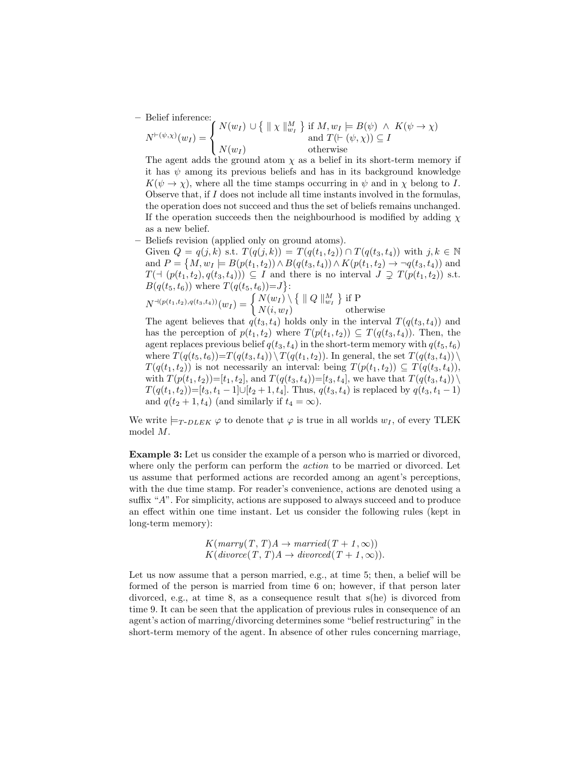– Belief inference:

$$
N^{\vdash(\psi,\chi)}(w_I) = \begin{cases} N(w_I) \cup \{ \parallel \chi \parallel_{w_I}^M \} & \text{if } M, w_I \models B(\psi) \land K(\psi \to \chi) \\ \text{and } T(\vdash (\psi,\chi)) \subseteq I \\ N(w_I) & \text{otherwise} \end{cases}
$$

The agent adds the ground atom  $\chi$  as a belief in its short-term memory if it has  $\psi$  among its previous beliefs and has in its background knowledge  $K(\psi \to \chi)$ , where all the time stamps occurring in  $\psi$  and in  $\chi$  belong to I. Observe that, if  $I$  does not include all time instants involved in the formulas, the operation does not succeed and thus the set of beliefs remains unchanged. If the operation succeeds then the neighbourhood is modified by adding  $\chi$ as a new belief.

– Beliefs revision (applied only on ground atoms).

Given  $Q = q(j,k)$  s.t.  $T(q(j,k)) = T(q(t_1,t_2)) \cap T(q(t_3,t_4))$  with  $j,k \in \mathbb{N}$ and  $P = \{M, w_I \models B(p(t_1, t_2)) \land B(q(t_3, t_4)) \land K(p(t_1, t_2) \rightarrow \neg q(t_3, t_4)) \text{ and }$  $T(\forall (p(t_1, t_2), q(t_3, t_4))) \subseteq I$  and there is no interval  $J \supseteq T(p(t_1, t_2))$  s.t.  $B(q(t_5, t_6))$  where  $T(q(t_5, t_6))=J$ :

$$
N^{\dashv (p(t_1,t_2), q(t_3,t_4))}(w_I) = \begin{cases} N(w_I) \setminus \{ \parallel Q \parallel_{w_I}^M \} \text{ if } P \\ N(i, w_I) \end{cases} \text{ otherwise}
$$

The agent believes that  $q(t_3, t_4)$  holds only in the interval  $T(q(t_3, t_4))$  and has the perception of  $p(t_1, t_2)$  where  $T(p(t_1, t_2)) \subseteq T(q(t_3, t_4))$ . Then, the agent replaces previous belief  $q(t_3, t_4)$  in the short-term memory with  $q(t_5, t_6)$ where  $T(q(t_5, t_6))=T(q(t_3, t_4)) \setminus T(q(t_1, t_2))$ . In general, the set  $T(q(t_3, t_4)) \setminus$  $T(q(t_1, t_2))$  is not necessarily an interval: being  $T(p(t_1, t_2)) \subseteq T(q(t_3, t_4)),$ with  $T(p(t_1, t_2))=[t_1, t_2]$ , and  $T(q(t_3, t_4))=[t_3, t_4]$ , we have that  $T(q(t_3, t_4)) \setminus$  $T(q(t_1, t_2))=[t_3, t_1-1]\cup [t_2+1, t_4]$ . Thus,  $q(t_3, t_4)$  is replaced by  $q(t_3, t_1-1)$ and  $q(t_2 + 1, t_4)$  (and similarly if  $t_4 = \infty$ ).

We write  $\models_{T\text{-}DLEK} \varphi$  to denote that  $\varphi$  is true in all worlds  $w_I$ , of every TLEK model M.

Example 3: Let us consider the example of a person who is married or divorced, where only the perform can perform the *action* to be married or divorced. Let us assume that performed actions are recorded among an agent's perceptions, with the due time stamp. For reader's convenience, actions are denoted using a suffix "A". For simplicity, actions are supposed to always succeed and to produce an effect within one time instant. Let us consider the following rules (kept in long-term memory):

$$
K(marry(T, T)A \rightarrow married(T + 1, \infty))
$$
  

$$
K(divorce(T, T)A \rightarrow divored(T + 1, \infty)).
$$

Let us now assume that a person married, e.g., at time 5; then, a belief will be formed of the person is married from time 6 on; however, if that person later divorced, e.g., at time 8, as a consequence result that s(he) is divorced from time 9. It can be seen that the application of previous rules in consequence of an agent's action of marring/divorcing determines some "belief restructuring" in the short-term memory of the agent. In absence of other rules concerning marriage,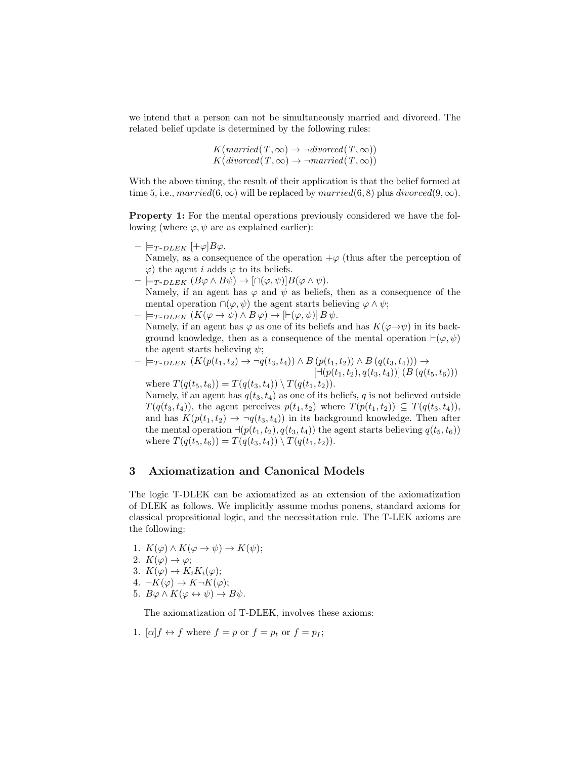we intend that a person can not be simultaneously married and divorced. The related belief update is determined by the following rules:

> $K(married(T, \infty) \rightarrow \neg\text{divorced}(T, \infty))$  $K(divored(T, \infty) \rightarrow \neg married(T, \infty))$

With the above timing, the result of their application is that the belief formed at time 5, i.e., married $(6, \infty)$  will be replaced by married $(6, 8)$  plus divorced $(9, \infty)$ .

Property 1: For the mental operations previously considered we have the following (where  $\varphi, \psi$  are as explained earlier):

- $\models_{T\text{-}DLEX}$   $[+\varphi]B\varphi$ . Namely, as a consequence of the operation  $+\varphi$  (thus after the perception of  $\varphi$ ) the agent *i* adds  $\varphi$  to its beliefs.
- $\models_{T\text{-}DLEK} (B\varphi \wedge B\psi) \rightarrow [\cap(\varphi,\psi)]B(\varphi \wedge \psi).$

Namely, if an agent has  $\varphi$  and  $\psi$  as beliefs, then as a consequence of the mental operation  $\cap(\varphi,\psi)$  the agent starts believing  $\varphi \wedge \psi$ ;

 $\models_{T\text{-}DLEK} (K(\varphi \rightarrow \psi) \land B\varphi) \rightarrow [ \vdash(\varphi, \psi)] B\psi.$ Namely, if an agent has  $\varphi$  as one of its beliefs and has  $K(\varphi \to \psi)$  in its background knowledge, then as a consequence of the mental operation  $\vdash(\varphi,\psi)$ the agent starts believing  $\psi$ ;

$$
- \models_{T\text{-}DLEK} (K(p(t_1, t_2) \to \neg q(t_3, t_4)) \land B(p(t_1, t_2)) \land B(q(t_3, t_4))) \to [\neg (p(t_1, t_2), q(t_3, t_4))] (B(q(t_5, t_6)))
$$

where  $T(q(t_5, t_6)) = T(q(t_3, t_4)) \setminus T(q(t_1, t_2)).$ Namely, if an agent has  $q(t_3, t_4)$  as one of its beliefs, q is not believed outside  $T(q(t_3, t_4))$ , the agent perceives  $p(t_1, t_2)$  where  $T(p(t_1, t_2)) \subseteq T(q(t_3, t_4))$ , and has  $K(p(t_1, t_2) \rightarrow \neg q(t_3, t_4))$  in its background knowledge. Then after the mental operation  $\neg(p(t_1, t_2), q(t_3, t_4))$  the agent starts believing  $q(t_5, t_6)$ where  $T(q(t_5, t_6)) = T(q(t_3, t_4)) \setminus T(q(t_1, t_2)).$ 

## 3 Axiomatization and Canonical Models

The logic T-DLEK can be axiomatized as an extension of the axiomatization of DLEK as follows. We implicitly assume modus ponens, standard axioms for classical propositional logic, and the necessitation rule. The T-LEK axioms are the following:

- 1.  $K(\varphi) \wedge K(\varphi \to \psi) \to K(\psi);$
- 2.  $K(\varphi) \to \varphi$ ;
- 3.  $K(\varphi) \to K_i K_i(\varphi)$ ;
- 4.  $\neg K(\varphi) \rightarrow K \neg K(\varphi);$
- 5.  $B\varphi \wedge K(\varphi \leftrightarrow \psi) \rightarrow B\psi$ .

The axiomatization of T-DLEK, involves these axioms:

1.  $[\alpha]f \leftrightarrow f$  where  $f = p$  or  $f = p_t$  or  $f = p_I$ ;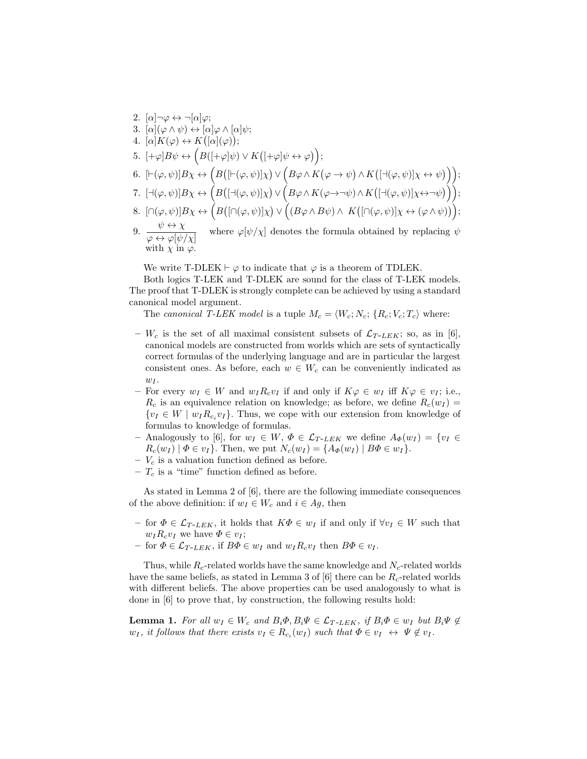- 2.  $[\alpha] \neg \varphi \leftrightarrow \neg[\alpha] \varphi;$
- 3.  $[\alpha](\varphi \wedge \psi) \leftrightarrow [\alpha]\varphi \wedge [\alpha]\psi;$
- 4.  $[\alpha]K(\varphi) \leftrightarrow K([\alpha](\varphi));$
- 5.  $[+\varphi]B\psi \leftrightarrow \left(B([+\varphi]\psi) \vee K([+\varphi]\psi \leftrightarrow \varphi)\right);$
- 6.  $[\vdash(\varphi,\psi)]B\chi \leftrightarrow (B([\vdash(\varphi,\psi)]\chi) \vee (B\varphi \wedge K(\varphi \rightarrow \psi) \wedge K([\dashv(\varphi,\psi)]\chi \leftrightarrow \psi)));$
- 7.  $[\exists (\varphi, \psi)] B \chi \leftrightarrow (B([\exists (\varphi, \psi)] \chi) \vee (B \varphi \wedge K(\varphi \rightarrow \neg \psi) \wedge K([\exists (\varphi, \psi)] \chi \leftrightarrow \neg \psi)));$
- 8.  $\left[\cap(\varphi,\psi)|B\chi\leftrightarrow\left(B\left(\left[\cap(\varphi,\psi)|\chi\right)\vee\left((B\varphi\wedge B\psi)\wedge\ K\left(\left[\cap(\varphi,\psi)|\chi\leftrightarrow(\varphi\wedge\psi)\right)\right]\right)\right]\right)$
- 9.  $\frac{\psi \leftrightarrow \chi}{\psi}$  $\frac{\partial \psi}{\partial \varphi} \leftrightarrow \varphi[\psi/\chi]$  where  $\varphi[\psi/\chi]$  denotes the formula obtained by replacing  $\psi$ with  $\chi$  in  $\varphi$ .

We write T-DLEK  $\vdash \varphi$  to indicate that  $\varphi$  is a theorem of TDLEK.

Both logics T-LEK and T-DLEK are sound for the class of T-LEK models. The proof that T-DLEK is strongly complete can be achieved by using a standard canonical model argument.

The canonical T-LEK model is a tuple  $M_c = \langle W_c; N_c; \{R_c; V_c; T_c \rangle$  where:

- $W_c$  is the set of all maximal consistent subsets of  $\mathcal{L}_{T-LEK}$ ; so, as in [6], canonical models are constructed from worlds which are sets of syntactically correct formulas of the underlying language and are in particular the largest consistent ones. As before, each  $w \in W_c$  can be conveniently indicated as  $w_I$ .
- For every  $w_I \in W$  and  $w_I R_c v_I$  if and only if  $K\varphi \in w_I$  iff  $K\varphi \in v_I$ ; i.e.,  $R_c$  is an equivalence relation on knowledge; as before, we define  $R_c(w_I)$  =  $\{v_I \in W \mid w_I R_{c_i} v_I\}$ . Thus, we cope with our extension from knowledge of formulas to knowledge of formulas.
- Analogously to [6], for  $w_I \in W$ ,  $\Phi \in \mathcal{L}_{T-LEK}$  we define  $A_{\Phi}(w_I) = \{v_I \in$  $R_c(w_I) | \Phi \in v_I$ . Then, we put  $N_c(w_I) = \{A_{\Phi}(w_I) | B_{\Phi} \in w_I\}.$
- $V_c$  is a valuation function defined as before.
- $T_c$  is a "time" function defined as before.

As stated in Lemma 2 of [6], there are the following immediate consequences of the above definition: if  $w_I \in W_c$  and  $i \in Ag$ , then

- for  $\Phi \in \mathcal{L}_{T-LEK}$ , it holds that  $K\Phi \in w_I$  if and only if  $\forall v_I \in W$  such that  $w_I R_c v_I$  we have  $\Phi \in v_I$ ;
- for  $\Phi \in \mathcal{L}_{T-LEK}$ , if  $B\Phi \in w_I$  and  $w_I R_c v_I$  then  $B\Phi \in v_I$ .

Thus, while  $R_c$ -related worlds have the same knowledge and  $N_c$ -related worlds have the same beliefs, as stated in Lemma 3 of [6] there can be  $R_c$ -related worlds with different beliefs. The above properties can be used analogously to what is done in [6] to prove that, by construction, the following results hold:

**Lemma 1.** For all  $w_I \in W_c$  and  $B_i\Phi, B_i\Psi \in \mathcal{L}_{T-LEK}$ , if  $B_i\Phi \in w_I$  but  $B_i\Psi \notin$  $w_I$ , it follows that there exists  $v_I \in R_{c_i}(w_I)$  such that  $\Phi \in v_I \leftrightarrow \Psi \notin v_I$ .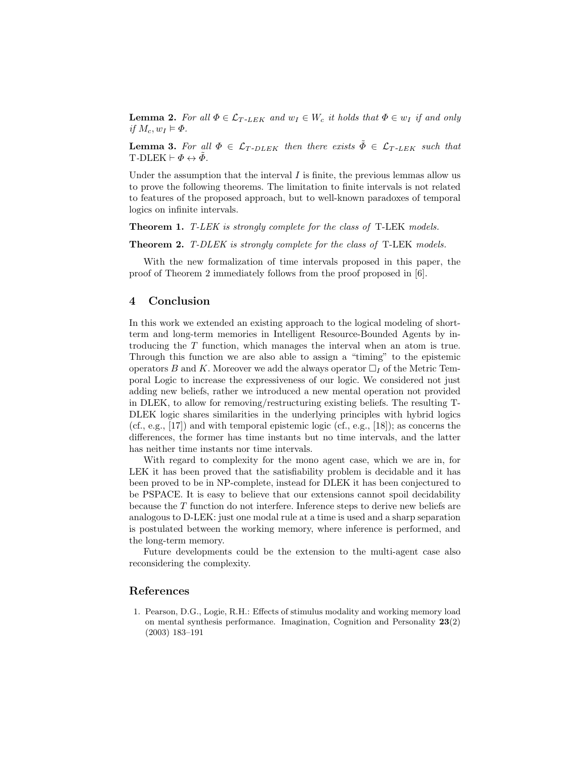**Lemma 2.** For all  $\Phi \in \mathcal{L}_{T-LEK}$  and  $w_I \in W_c$  it holds that  $\Phi \in w_I$  if and only if  $M_c, w_I \models \Phi$ .

**Lemma 3.** For all  $\Phi \in \mathcal{L}_{T-DLEK}$  then there exists  $\Phi \in \mathcal{L}_{T-LEK}$  such that T-DLEK  $\vdash \Phi \leftrightarrow \tilde{\Phi}$ .

Under the assumption that the interval  $I$  is finite, the previous lemmas allow us to prove the following theorems. The limitation to finite intervals is not related to features of the proposed approach, but to well-known paradoxes of temporal logics on infinite intervals.

Theorem 1. T-LEK is strongly complete for the class of T-LEK models.

Theorem 2. T-DLEK is strongly complete for the class of T-LEK models.

With the new formalization of time intervals proposed in this paper, the proof of Theorem 2 immediately follows from the proof proposed in [6].

## 4 Conclusion

In this work we extended an existing approach to the logical modeling of shortterm and long-term memories in Intelligent Resource-Bounded Agents by introducing the T function, which manages the interval when an atom is true. Through this function we are also able to assign a "timing" to the epistemic operators B and K. Moreover we add the always operator  $\Box_I$  of the Metric Temporal Logic to increase the expressiveness of our logic. We considered not just adding new beliefs, rather we introduced a new mental operation not provided in DLEK, to allow for removing/restructuring existing beliefs. The resulting T-DLEK logic shares similarities in the underlying principles with hybrid logics (cf., e.g., [17]) and with temporal epistemic logic (cf., e.g., [18]); as concerns the differences, the former has time instants but no time intervals, and the latter has neither time instants nor time intervals.

With regard to complexity for the mono agent case, which we are in, for LEK it has been proved that the satisfiability problem is decidable and it has been proved to be in NP-complete, instead for DLEK it has been conjectured to be PSPACE. It is easy to believe that our extensions cannot spoil decidability because the T function do not interfere. Inference steps to derive new beliefs are analogous to D-LEK: just one modal rule at a time is used and a sharp separation is postulated between the working memory, where inference is performed, and the long-term memory.

Future developments could be the extension to the multi-agent case also reconsidering the complexity.

#### References

1. Pearson, D.G., Logie, R.H.: Effects of stimulus modality and working memory load on mental synthesis performance. Imagination, Cognition and Personality 23(2) (2003) 183–191